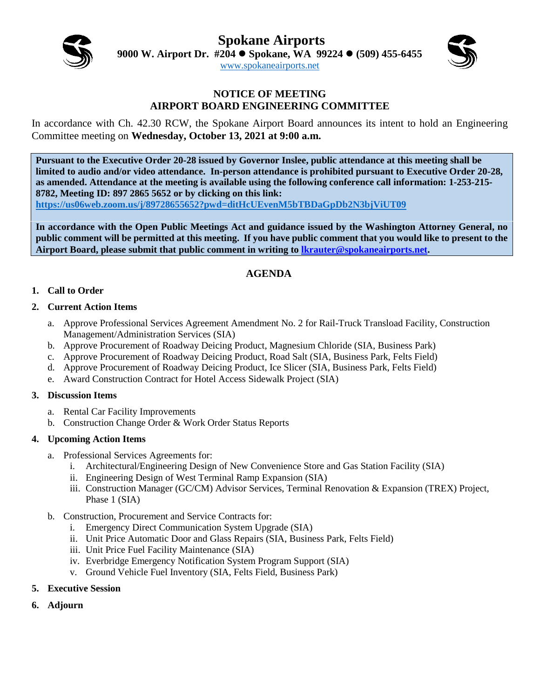**Spokane Airports**



**9000 W. Airport Dr. #204 Spokane, WA 99224 (509) 455-6455**

[www.spokaneairports.net](http://www.spokaneairports.net/)



### **NOTICE OF MEETING AIRPORT BOARD ENGINEERING COMMITTEE**

In accordance with Ch. 42.30 RCW, the Spokane Airport Board announces its intent to hold an Engineering Committee meeting on **Wednesday, October 13, 2021 at 9:00 a.m.** 

**Pursuant to the Executive Order 20-28 issued by Governor Inslee, public attendance at this meeting shall be limited to audio and/or video attendance. In-person attendance is prohibited pursuant to Executive Order 20-28, as amended. Attendance at the meeting is available using the following conference call information: 1-253-215- 8782, Meeting ID: 897 2865 5652 or by clicking on this link:** 

**<https://us06web.zoom.us/j/89728655652?pwd=ditHcUEvenM5bTBDaGpDb2N3bjViUT09>**

**In accordance with the Open Public Meetings Act and guidance issued by the Washington Attorney General, no public comment will be permitted at this meeting. If you have public comment that you would like to present to the Airport Board, please submit that public comment in writing to [lkrauter@spokaneairports.net.](mailto:lkrauter@spokaneairports.net)**

## **AGENDA**

### **1. Call to Order**

### **2. Current Action Items**

- a. Approve Professional Services Agreement Amendment No. 2 for Rail-Truck Transload Facility, Construction Management/Administration Services (SIA)
- b. Approve Procurement of Roadway Deicing Product, Magnesium Chloride (SIA, Business Park)
- c. Approve Procurement of Roadway Deicing Product, Road Salt (SIA, Business Park, Felts Field)
- d. Approve Procurement of Roadway Deicing Product, Ice Slicer (SIA, Business Park, Felts Field)
- e. Award Construction Contract for Hotel Access Sidewalk Project (SIA)

### **3. Discussion Items**

- a. Rental Car Facility Improvements
- b. Construction Change Order & Work Order Status Reports

### **4. Upcoming Action Items**

- a. Professional Services Agreements for:
	- i. Architectural/Engineering Design of New Convenience Store and Gas Station Facility (SIA)
	- ii. Engineering Design of West Terminal Ramp Expansion (SIA)
	- iii. Construction Manager (GC/CM) Advisor Services, Terminal Renovation & Expansion (TREX) Project, Phase 1 (SIA)
- b. Construction, Procurement and Service Contracts for:
	- i. Emergency Direct Communication System Upgrade (SIA)
	- ii. Unit Price Automatic Door and Glass Repairs (SIA, Business Park, Felts Field)
	- iii. Unit Price Fuel Facility Maintenance (SIA)
	- iv. Everbridge Emergency Notification System Program Support (SIA)
	- v. Ground Vehicle Fuel Inventory (SIA, Felts Field, Business Park)
- **5. Executive Session**
- **6. Adjourn**